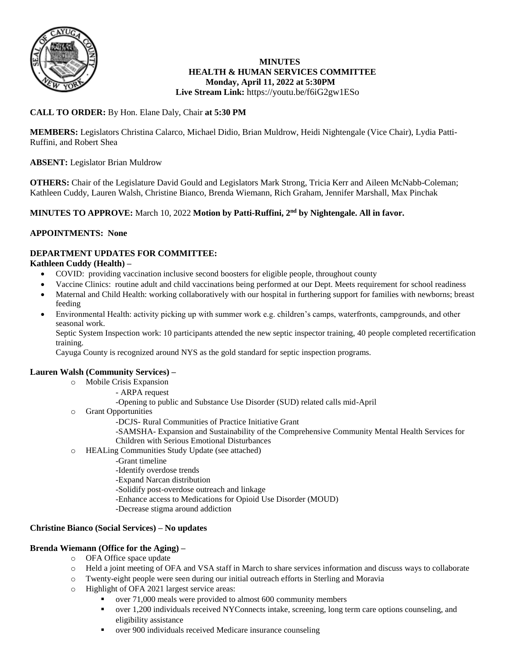

# **MINUTES HEALTH & HUMAN SERVICES COMMITTEE Monday, April 11, 2022 at 5:30PM**

# **Live Stream Link:** <https://youtu.be/f6iG2gw1ESo>

# **CALL TO ORDER:** By Hon. Elane Daly, Chair **at 5:30 PM**

**MEMBERS:** Legislators Christina Calarco, Michael Didio, Brian Muldrow, Heidi Nightengale (Vice Chair), Lydia Patti-Ruffini, and Robert Shea

# **ABSENT:** Legislator Brian Muldrow

**OTHERS:** Chair of the Legislature David Gould and Legislators Mark Strong, Tricia Kerr and Aileen McNabb-Coleman; Kathleen Cuddy, Lauren Walsh, Christine Bianco, Brenda Wiemann, Rich Graham, Jennifer Marshall, Max Pinchak

# **MINUTES TO APPROVE:** March 10, 2022 **Motion by Patti-Ruffini, 2nd by Nightengale. All in favor.**

# **APPOINTMENTS: None**

# **DEPARTMENT UPDATES FOR COMMITTEE:**

## **Kathleen Cuddy (Health) –**

- COVID: providing vaccination inclusive second boosters for eligible people, throughout county
- Vaccine Clinics: routine adult and child vaccinations being performed at our Dept. Meets requirement for school readiness
- Maternal and Child Health: working collaboratively with our hospital in furthering support for families with newborns; breast feeding
- Environmental Health: activity picking up with summer work e.g. children's camps, waterfronts, campgrounds, and other seasonal work.

Septic System Inspection work: 10 participants attended the new septic inspector training, 40 people completed recertification training.

Cayuga County is recognized around NYS as the gold standard for septic inspection programs.

## **Lauren Walsh (Community Services) –**

- o Mobile Crisis Expansion
	- ARPA request
	- -Opening to public and Substance Use Disorder (SUD) related calls mid-April
- o Grant Opportunities
	- -DCJS- Rural Communities of Practice Initiative Grant
	- -SAMSHA- Expansion and Sustainability of the Comprehensive Community Mental Health Services for Children with Serious Emotional Disturbances
- o HEALing Communities Study Update (see attached)
	- -Grant timeline
	- -Identify overdose trends
	- -Expand Narcan distribution
	- -Solidify post-overdose outreach and linkage
	- -Enhance access to Medications for Opioid Use Disorder (MOUD)
	- -Decrease stigma around addiction

## **Christine Bianco (Social Services) – No updates**

#### **Brenda Wiemann (Office for the Aging) –**

- o OFA Office space update
- o Held a joint meeting of OFA and VSA staff in March to share services information and discuss ways to collaborate
- o Twenty-eight people were seen during our initial outreach efforts in Sterling and Moravia
- o Highlight of OFA 2021 largest service areas:
	- over 71,000 meals were provided to almost 600 community members
	- over 1,200 individuals received NYConnects intake, screening, long term care options counseling, and eligibility assistance
	- over 900 individuals received Medicare insurance counseling